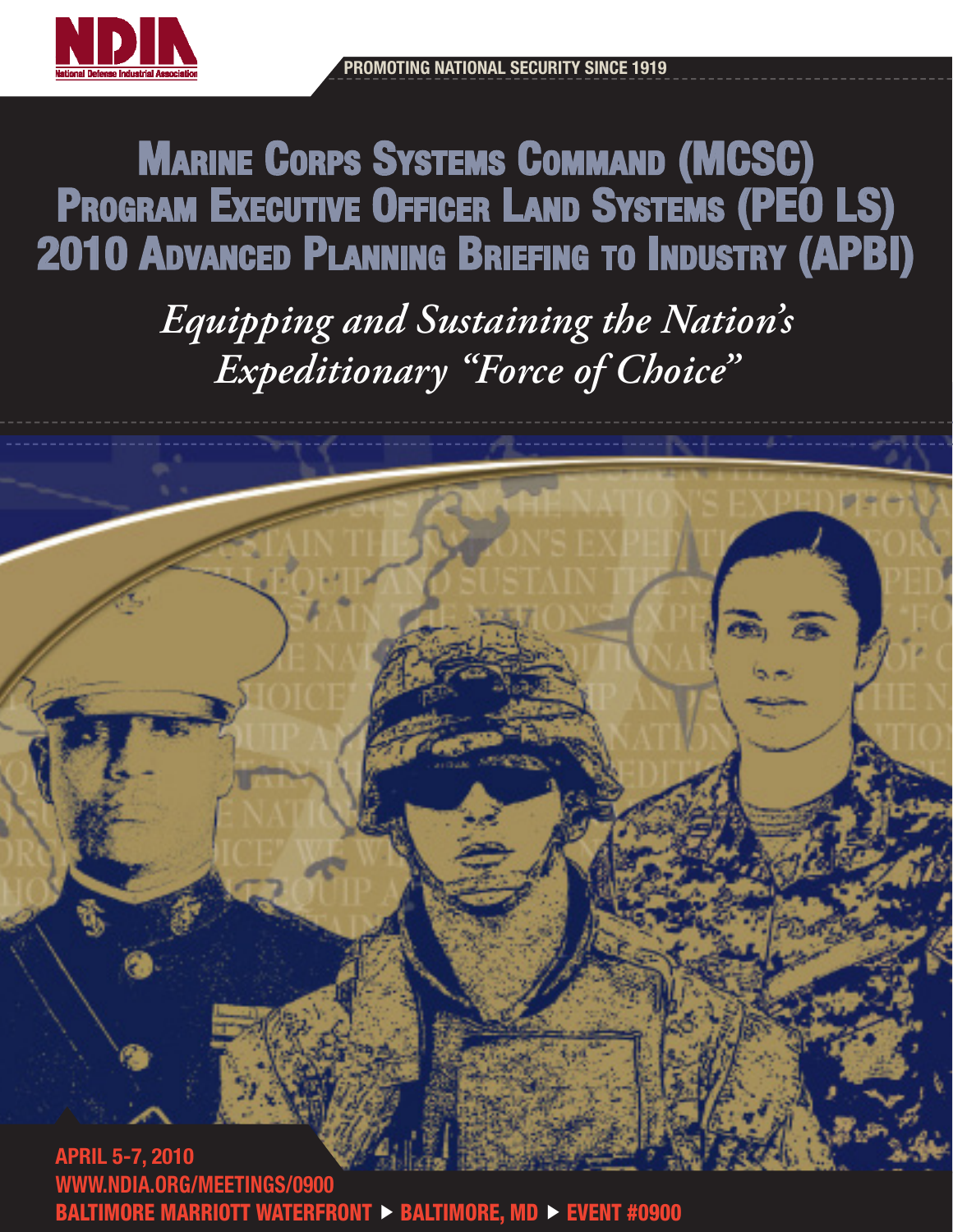



Marine Corps Systems Command (MCSC) Program Executive Officer Land Systems (PEO LS) 2010 Advanced Planning Briefing to Industry (APBI)

> *Equipping and Sustaining the Nation's Expeditionary "Force of Choice"*



WWW.NDIA.ORG/MEETINGS/0900 BALTIMORE MARRIOTT WATERFRONT  $\triangleright$  BALTIMORE, MD  $\triangleright$  EVENT #0900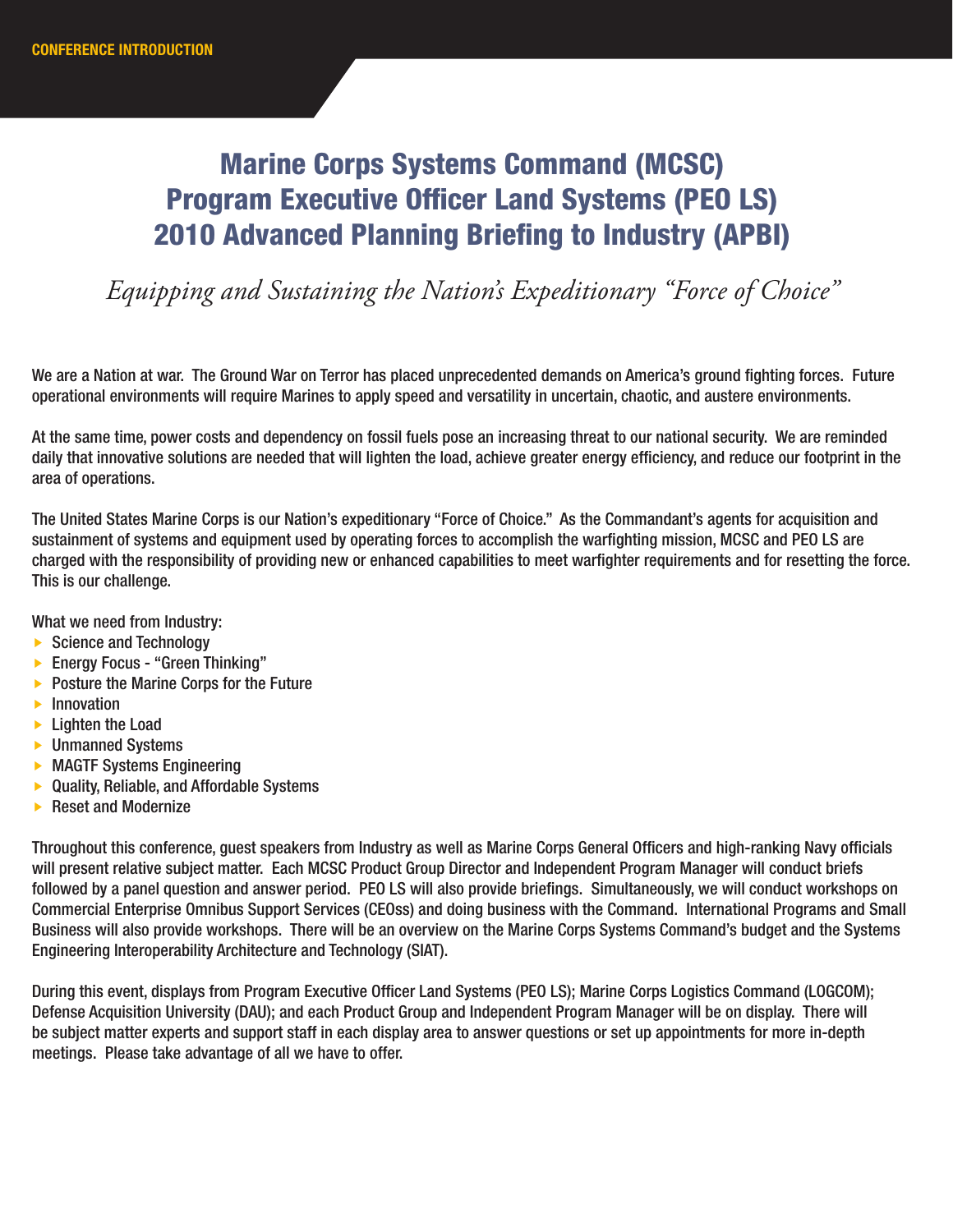# Marine Corps Systems Command (MCSC) Program Executive Officer Land Systems (PEO LS) 2010 Advanced Planning Briefing to Industry (APBI)

# *Equipping and Sustaining the Nation's Expeditionary "Force of Choice"*

We are a Nation at war. The Ground War on Terror has placed unprecedented demands on America's ground fighting forces. Future operational environments will require Marines to apply speed and versatility in uncertain, chaotic, and austere environments.

At the same time, power costs and dependency on fossil fuels pose an increasing threat to our national security. We are reminded daily that innovative solutions are needed that will lighten the load, achieve greater energy efficiency, and reduce our footprint in the area of operations.

The United States Marine Corps is our Nation's expeditionary "Force of Choice." As the Commandant's agents for acquisition and sustainment of systems and equipment used by operating forces to accomplish the warfighting mission, MCSC and PEO LS are charged with the responsibility of providing new or enhanced capabilities to meet warfighter requirements and for resetting the force. This is our challenge.

What we need from Industry:

- $\triangleright$  Science and Technology
- ▶ Energy Focus "Green Thinking"
- $\triangleright$  Posture the Marine Corps for the Future
- $\blacktriangleright$  Innovation
- **Lighten the Load**
- **Dimanned Systems**
- **MAGTF Systems Engineering**
- ▶ Quality, Reliable, and Affordable Systems
- ▶ Reset and Modernize

Throughout this conference, guest speakers from Industry as well as Marine Corps General Officers and high-ranking Navy officials will present relative subject matter. Each MCSC Product Group Director and Independent Program Manager will conduct briefs followed by a panel question and answer period. PEO LS will also provide briefings. Simultaneously, we will conduct workshops on Commercial Enterprise Omnibus Support Services (CEOss) and doing business with the Command. International Programs and Small Business will also provide workshops. There will be an overview on the Marine Corps Systems Command's budget and the Systems Engineering Interoperability Architecture and Technology (SIAT).

During this event, displays from Program Executive Officer Land Systems (PEO LS); Marine Corps Logistics Command (LOGCOM); Defense Acquisition University (DAU); and each Product Group and Independent Program Manager will be on display. There will be subject matter experts and support staff in each display area to answer questions or set up appointments for more in-depth meetings. Please take advantage of all we have to offer.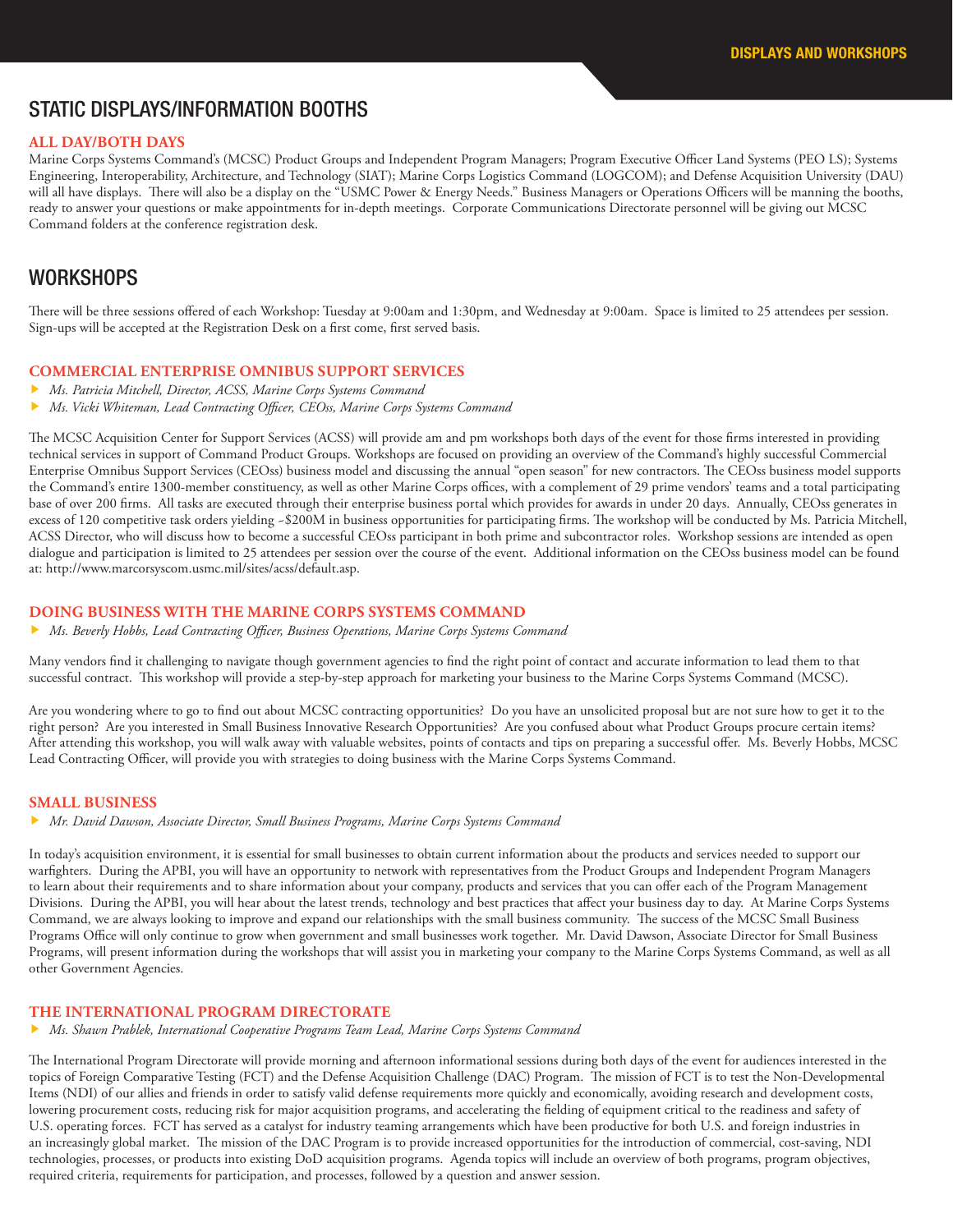## STATIC DISPLAYS/INFORMATION BOOTHS

#### **ALL DAY/BOTH DAYS**

Marine Corps Systems Command's (MCSC) Product Groups and Independent Program Managers; Program Executive Officer Land Systems (PEO LS); Systems Engineering, Interoperability, Architecture, and Technology (SIAT); Marine Corps Logistics Command (LOGCOM); and Defense Acquisition University (DAU) will all have displays. There will also be a display on the "USMC Power & Energy Needs." Business Managers or Operations Officers will be manning the booths, ready to answer your questions or make appointments for in-depth meetings. Corporate Communications Directorate personnel will be giving out MCSC Command folders at the conference registration desk.

#### WORKSHOPS

There will be three sessions offered of each Workshop: Tuesday at 9:00am and 1:30pm, and Wednesday at 9:00am. Space is limited to 25 attendees per session. Sign-ups will be accepted at the Registration Desk on a first come, first served basis.

#### **COMMERCIAL ENTERPRISE OMNIBUS SUPPORT SERVICES**

- *Ms. Patricia Mitchell, Director, ACSS, Marine Corps Systems Command*
- *Ms. Vicki Whiteman, Lead Contracting Officer, CEOss, Marine Corps Systems Command*

The MCSC Acquisition Center for Support Services (ACSS) will provide am and pm workshops both days of the event for those firms interested in providing technical services in support of Command Product Groups. Workshops are focused on providing an overview of the Command's highly successful Commercial Enterprise Omnibus Support Services (CEOss) business model and discussing the annual "open season" for new contractors. The CEOss business model supports the Command's entire 1300-member constituency, as well as other Marine Corps offices, with a complement of 29 prime vendors' teams and a total participating base of over 200 firms. All tasks are executed through their enterprise business portal which provides for awards in under 20 days. Annually, CEOss generates in excess of 120 competitive task orders yielding ~\$200M in business opportunities for participating firms. The workshop will be conducted by Ms. Patricia Mitchell, ACSS Director, who will discuss how to become a successful CEOss participant in both prime and subcontractor roles. Workshop sessions are intended as open dialogue and participation is limited to 25 attendees per session over the course of the event. Additional information on the CEOss business model can be found at: http://www.marcorsyscom.usmc.mil/sites/acss/default.asp.

#### **DOING BUSINESS WITH THE MARINE CORPS SYSTEMS COMMAND**

*Ms. Beverly Hobbs, Lead Contracting Officer, Business Operations, Marine Corps Systems Command*

Many vendors find it challenging to navigate though government agencies to find the right point of contact and accurate information to lead them to that successful contract. This workshop will provide a step-by-step approach for marketing your business to the Marine Corps Systems Command (MCSC).

Are you wondering where to go to find out about MCSC contracting opportunities? Do you have an unsolicited proposal but are not sure how to get it to the right person? Are you interested in Small Business Innovative Research Opportunities? Are you confused about what Product Groups procure certain items? After attending this workshop, you will walk away with valuable websites, points of contacts and tips on preparing a successful offer. Ms. Beverly Hobbs, MCSC Lead Contracting Officer, will provide you with strategies to doing business with the Marine Corps Systems Command.

#### **SMALL BUSINESS**

*Mr. David Dawson, Associate Director, Small Business Programs, Marine Corps Systems Command*

In today's acquisition environment, it is essential for small businesses to obtain current information about the products and services needed to support our warfighters. During the APBI, you will have an opportunity to network with representatives from the Product Groups and Independent Program Managers to learn about their requirements and to share information about your company, products and services that you can offer each of the Program Management Divisions. During the APBI, you will hear about the latest trends, technology and best practices that affect your business day to day. At Marine Corps Systems Command, we are always looking to improve and expand our relationships with the small business community. The success of the MCSC Small Business Programs Office will only continue to grow when government and small businesses work together. Mr. David Dawson, Associate Director for Small Business Programs, will present information during the workshops that will assist you in marketing your company to the Marine Corps Systems Command, as well as all other Government Agencies.

#### **THE INTERNATIONAL PROGRAM DIRECTORATE**

*Ms. Shawn Prablek, International Cooperative Programs Team Lead, Marine Corps Systems Command*

The International Program Directorate will provide morning and afternoon informational sessions during both days of the event for audiences interested in the topics of Foreign Comparative Testing (FCT) and the Defense Acquisition Challenge (DAC) Program. The mission of FCT is to test the Non-Developmental Items (NDI) of our allies and friends in order to satisfy valid defense requirements more quickly and economically, avoiding research and development costs, lowering procurement costs, reducing risk for major acquisition programs, and accelerating the fielding of equipment critical to the readiness and safety of U.S. operating forces. FCT has served as a catalyst for industry teaming arrangements which have been productive for both U.S. and foreign industries in an increasingly global market. The mission of the DAC Program is to provide increased opportunities for the introduction of commercial, cost-saving, NDI technologies, processes, or products into existing DoD acquisition programs. Agenda topics will include an overview of both programs, program objectives, required criteria, requirements for participation, and processes, followed by a question and answer session.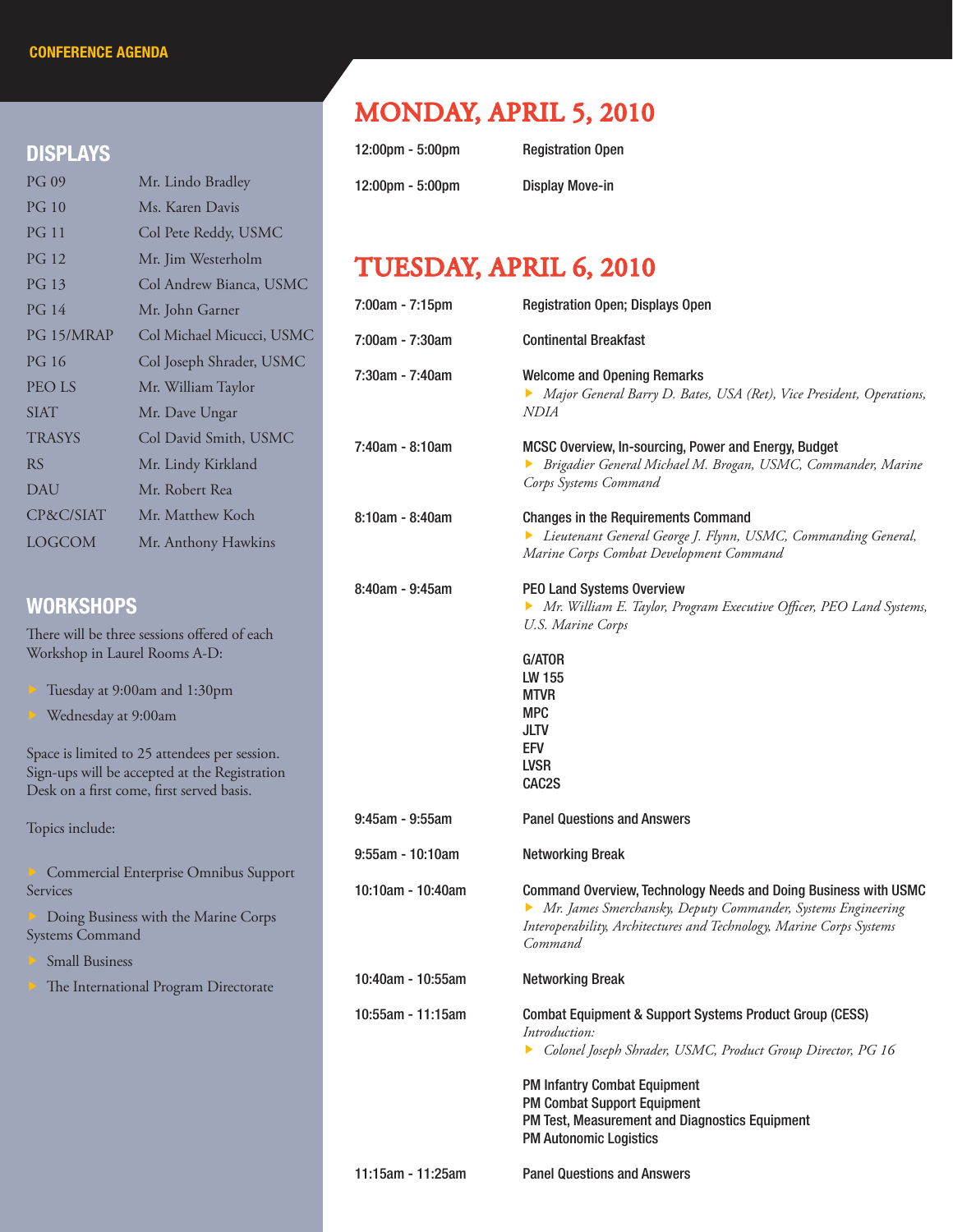#### DISPLAYS

| <b>PG 09</b>  | Mr. Lindo Bradley         |
|---------------|---------------------------|
| PG 10         | Ms. Karen Davis           |
| <b>PG 11</b>  | Col Pete Reddy, USMC      |
| <b>PG 12</b>  | Mr. Jim Westerholm        |
| PG 13         | Col Andrew Bianca, USMC   |
| PG 14         | Mr. John Garner           |
| PG 15/MRAP    | Col Michael Micucci, USMC |
| PG 16         | Col Joseph Shrader, USMC  |
| <b>PEOLS</b>  | Mr. William Taylor        |
| <b>SIAT</b>   | Mr. Dave Ungar            |
| <b>TRASYS</b> | Col David Smith, USMC     |
| <b>RS</b>     | Mr. Lindy Kirkland        |
| DAU           | Mr. Robert Rea            |
| CP&C/SIAT     | Mr. Matthew Koch          |
| LOGCOM        | Mr. Anthony Hawkins       |

#### **WORKSHOPS**

There will be three sessions offered of each Workshop in Laurel Rooms A-D:

- Tuesday at 9:00am and 1:30pm
- Wednesday at 9:00am

Space is limited to 25 attendees per session. Sign-ups will be accepted at the Registration Desk on a first come, first served basis.

Topics include:

 Commercial Enterprise Omnibus Support Services

 Doing Business with the Marine Corps Systems Command

Small Business

The International Program Directorate

# MONDAY, APRIL 5, 2010

| $12:00 \text{pm} - 5:00 \text{pm}$ | <b>Registration Open</b> |
|------------------------------------|--------------------------|
| $12:00 \text{pm} - 5:00 \text{pm}$ | <b>Display Move-in</b>   |

# TUESDAY, APRIL 6, 2010

| 7:00am - 7:15pm   | Registration Open; Displays Open                                                                                                                                                                                                                                                                                   |
|-------------------|--------------------------------------------------------------------------------------------------------------------------------------------------------------------------------------------------------------------------------------------------------------------------------------------------------------------|
| 7:00am - 7:30am   | <b>Continental Breakfast</b>                                                                                                                                                                                                                                                                                       |
| 7:30am - 7:40am   | <b>Welcome and Opening Remarks</b><br>Major General Barry D. Bates, USA (Ret), Vice President, Operations,<br>NDIA                                                                                                                                                                                                 |
| 7:40am - 8:10am   | MCSC Overview, In-sourcing, Power and Energy, Budget<br>Brigadier General Michael M. Brogan, USMC, Commander, Marine<br>▶<br>Corps Systems Command                                                                                                                                                                 |
| $8:10am - 8:40am$ | <b>Changes in the Requirements Command</b><br>> Lieutenant General George J. Flynn, USMC, Commanding General,<br>Marine Corps Combat Development Command                                                                                                                                                           |
| 8:40am - 9:45am   | PEO Land Systems Overview<br>Mr. William E. Taylor, Program Executive Officer, PEO Land Systems,<br>U.S. Marine Corps                                                                                                                                                                                              |
|                   | <b>G/ATOR</b><br>LW 155<br><b>MTVR</b><br><b>MPC</b><br>JLTV<br><b>EFV</b><br><b>LVSR</b><br>CAC <sub>2</sub> S                                                                                                                                                                                                    |
| $9:45am - 9:55am$ | <b>Panel Questions and Answers</b>                                                                                                                                                                                                                                                                                 |
| 9:55am - 10:10am  | <b>Networking Break</b>                                                                                                                                                                                                                                                                                            |
| 10:10am - 10:40am | Command Overview, Technology Needs and Doing Business with USMC<br>• Mr. James Smerchansky, Deputy Commander, Systems Engineering<br>Interoperability, Architectures and Technology, Marine Corps Systems<br>Command                                                                                               |
| 10:40am - 10:55am | <b>Networking Break</b>                                                                                                                                                                                                                                                                                            |
| 10:55am - 11:15am | <b>Combat Equipment &amp; Support Systems Product Group (CESS)</b><br>Introduction:<br>Colonel Joseph Shrader, USMC, Product Group Director, PG 16<br><b>PM Infantry Combat Equipment</b><br><b>PM Combat Support Equipment</b><br>PM Test, Measurement and Diagnostics Equipment<br><b>PM Autonomic Logistics</b> |
| 11:15am - 11:25am | <b>Panel Questions and Answers</b>                                                                                                                                                                                                                                                                                 |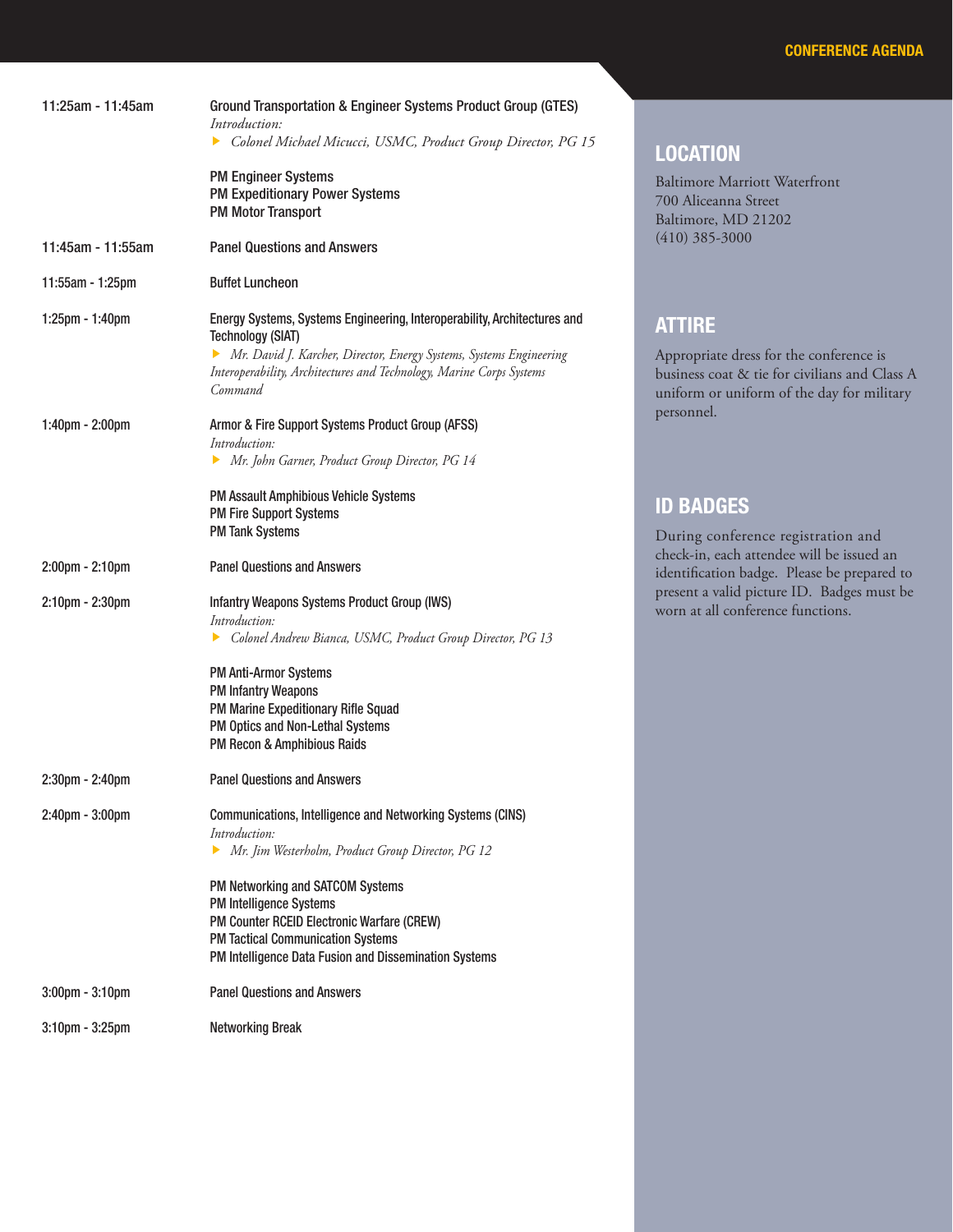| 11:25am - 11:45am     | Ground Transportation & Engineer Systems Product Group (GTES)<br>Introduction:<br>Colonel Michael Micucci, USMC, Product Group Director, PG 15<br><b>PM Engineer Systems</b><br><b>PM Expeditionary Power Systems</b><br><b>PM Motor Transport</b>                                                                                                 | <b>LOCATION</b><br><b>Baltimore Marriott Waterfront</b><br>700 Aliceanna Street<br>Baltimore, MD 21202                                                  |
|-----------------------|----------------------------------------------------------------------------------------------------------------------------------------------------------------------------------------------------------------------------------------------------------------------------------------------------------------------------------------------------|---------------------------------------------------------------------------------------------------------------------------------------------------------|
| 11:45am - 11:55am     | <b>Panel Questions and Answers</b>                                                                                                                                                                                                                                                                                                                 | $(410)$ 385-3000                                                                                                                                        |
| 11:55am - 1:25pm      | <b>Buffet Luncheon</b>                                                                                                                                                                                                                                                                                                                             |                                                                                                                                                         |
| 1:25pm - 1:40pm       | Energy Systems, Systems Engineering, Interoperability, Architectures and<br><b>Technology (SIAT)</b><br>Mr. David J. Karcher, Director, Energy Systems, Systems Engineering<br>Interoperability, Architectures and Technology, Marine Corps Systems<br>Command                                                                                     | <b>ATTIRE</b><br>Appropriate dress for the conference is<br>business coat & tie for civilians and Class A<br>uniform or uniform of the day for military |
| 1:40pm - 2:00pm       | Armor & Fire Support Systems Product Group (AFSS)<br>Introduction:<br>Mr. John Garner, Product Group Director, PG 14                                                                                                                                                                                                                               | personnel.                                                                                                                                              |
|                       | PM Assault Amphibious Vehicle Systems<br><b>PM Fire Support Systems</b><br><b>PM Tank Systems</b>                                                                                                                                                                                                                                                  | <b>ID BADGES</b><br>During conference registration and                                                                                                  |
| 2:00pm - 2:10pm       | <b>Panel Questions and Answers</b>                                                                                                                                                                                                                                                                                                                 | check-in, each attendee will be issued an<br>identification badge. Please be prepared to                                                                |
| 2:10pm - 2:30pm       | Infantry Weapons Systems Product Group (IWS)<br>Introduction:<br>Colonel Andrew Bianca, USMC, Product Group Director, PG 13                                                                                                                                                                                                                        | present a valid picture ID. Badges must be<br>worn at all conference functions.                                                                         |
|                       | <b>PM Anti-Armor Systems</b><br><b>PM Infantry Weapons</b><br>PM Marine Expeditionary Rifle Squad<br>PM Optics and Non-Lethal Systems<br>PM Recon & Amphibious Raids                                                                                                                                                                               |                                                                                                                                                         |
| $2:30$ pm - $2:40$ pm | <b>Panel Questions and Answers</b>                                                                                                                                                                                                                                                                                                                 |                                                                                                                                                         |
| $2:40$ pm - $3:00$ pm | Communications, Intelligence and Networking Systems (CINS)<br>Introduction:<br>Mr. Jim Westerholm, Product Group Director, PG 12<br>PM Networking and SATCOM Systems<br>PM Intelligence Systems<br>PM Counter RCEID Electronic Warfare (CREW)<br><b>PM Tactical Communication Systems</b><br>PM Intelligence Data Fusion and Dissemination Systems |                                                                                                                                                         |
| $3:00$ pm - $3:10$ pm | <b>Panel Questions and Answers</b>                                                                                                                                                                                                                                                                                                                 |                                                                                                                                                         |
| 3:10pm - 3:25pm       | <b>Networking Break</b>                                                                                                                                                                                                                                                                                                                            |                                                                                                                                                         |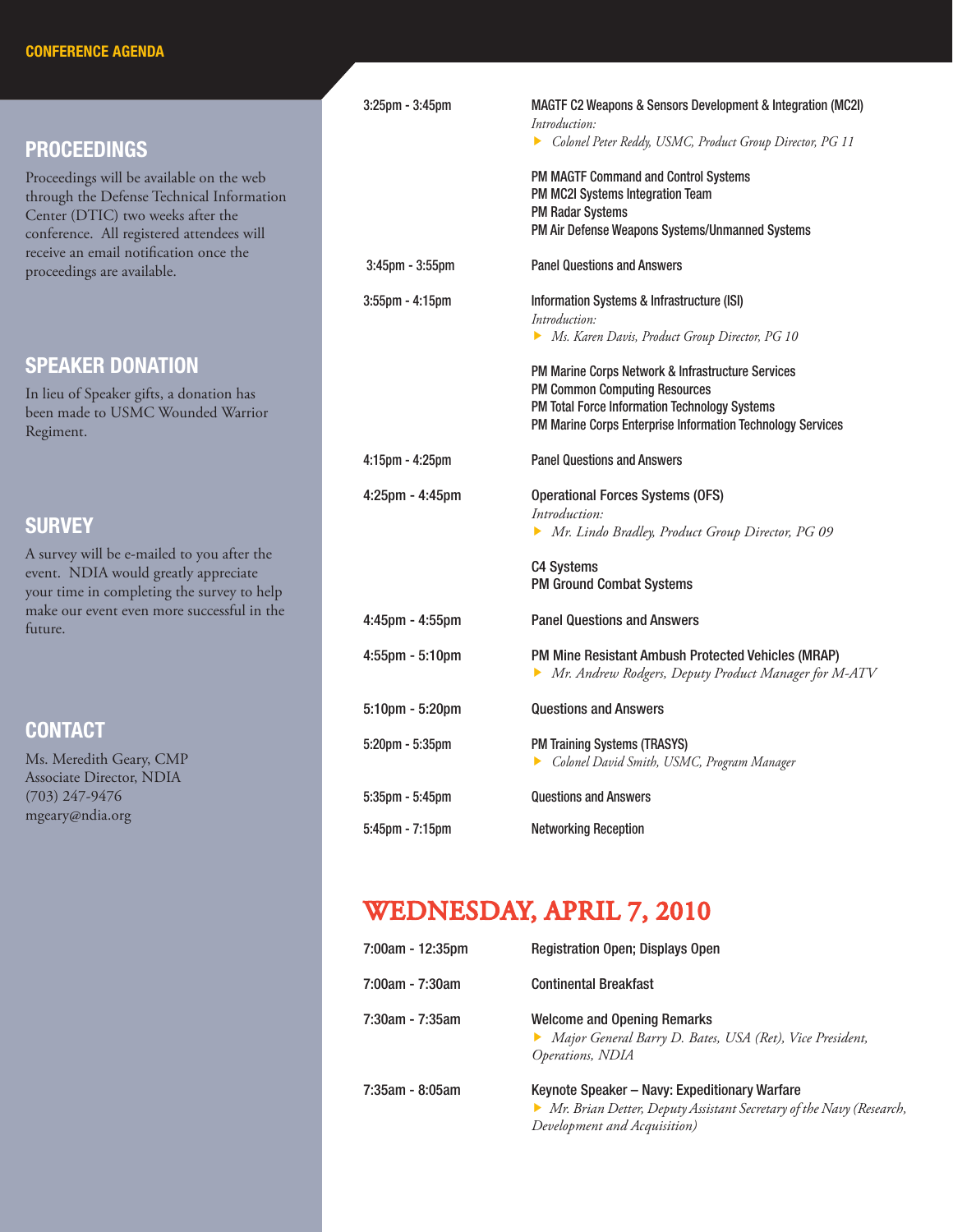## PROCEEDINGS

Proceedings will be available on the web through the Defense Technical Information Center (DTIC) two weeks after the conference. All registered attendees will receive an email notification once the proceedings are available.

### SPEAKER DONATION

In lieu of Speaker gifts, a donation has been made to USMC Wounded Warrior Regiment.

#### **SURVEY**

A survey will be e-mailed to you after the event. NDIA would greatly appreciate your time in completing the survey to help make our event even more successful in the future.

## **CONTACT**

Ms. Meredith Geary, CMP Associate Director, NDIA (703) 247-9476 mgeary@ndia.org

| $3:25$ pm - $3:45$ pm | MAGTF C2 Weapons & Sensors Development & Integration (MC2I)<br>Introduction:<br>Colonel Peter Reddy, USMC, Product Group Director, PG 11                                                                 |
|-----------------------|----------------------------------------------------------------------------------------------------------------------------------------------------------------------------------------------------------|
|                       | PM MAGTF Command and Control Systems<br>PM MC2I Systems Integration Team<br><b>PM Radar Systems</b><br>PM Air Defense Weapons Systems/Unmanned Systems                                                   |
| $3:45$ pm - $3:55$ pm | <b>Panel Questions and Answers</b>                                                                                                                                                                       |
| 3:55pm - 4:15pm       | Information Systems & Infrastructure (ISI)<br>Introduction:<br>Ms. Karen Davis, Product Group Director, PG 10                                                                                            |
|                       | PM Marine Corps Network & Infrastructure Services<br><b>PM Common Computing Resources</b><br>PM Total Force Information Technology Systems<br>PM Marine Corps Enterprise Information Technology Services |
| $4:15$ pm - $4:25$ pm | <b>Panel Questions and Answers</b>                                                                                                                                                                       |
| $4:25$ pm - $4:45$ pm | <b>Operational Forces Systems (OFS)</b><br>Introduction:<br>• Mr. Lindo Bradley, Product Group Director, PG 09                                                                                           |
|                       | <b>C4 Systems</b><br><b>PM Ground Combat Systems</b>                                                                                                                                                     |
| $4:45$ pm - $4:55$ pm | <b>Panel Questions and Answers</b>                                                                                                                                                                       |
| $4:55$ pm - $5:10$ pm | PM Mine Resistant Ambush Protected Vehicles (MRAP)<br>Mr. Andrew Rodgers, Deputy Product Manager for M-ATV                                                                                               |
| 5:10pm - 5:20pm       | <b>Questions and Answers</b>                                                                                                                                                                             |
| $5:20$ pm - $5:35$ pm | <b>PM Training Systems (TRASYS)</b><br>Colonel David Smith, USMC, Program Manager                                                                                                                        |
| $5:35$ pm - $5:45$ pm | <b>Questions and Answers</b>                                                                                                                                                                             |
| 5:45pm - 7:15pm       | <b>Networking Reception</b>                                                                                                                                                                              |

# WEDNESDAY, APRIL 7, 2010

| 7:00am - 12:35pm | <b>Registration Open; Displays Open</b>                                                                                                                |
|------------------|--------------------------------------------------------------------------------------------------------------------------------------------------------|
| 7:00am - 7:30am  | <b>Continental Breakfast</b>                                                                                                                           |
| 7:30am - 7:35am  | <b>Welcome and Opening Remarks</b><br>Major General Barry D. Bates, USA (Ret), Vice President,<br>Operations, NDIA                                     |
| 7:35am - 8:05am  | Keynote Speaker - Navy: Expeditionary Warfare<br>• Mr. Brian Detter, Deputy Assistant Secretary of the Navy (Research,<br>Development and Acquisition) |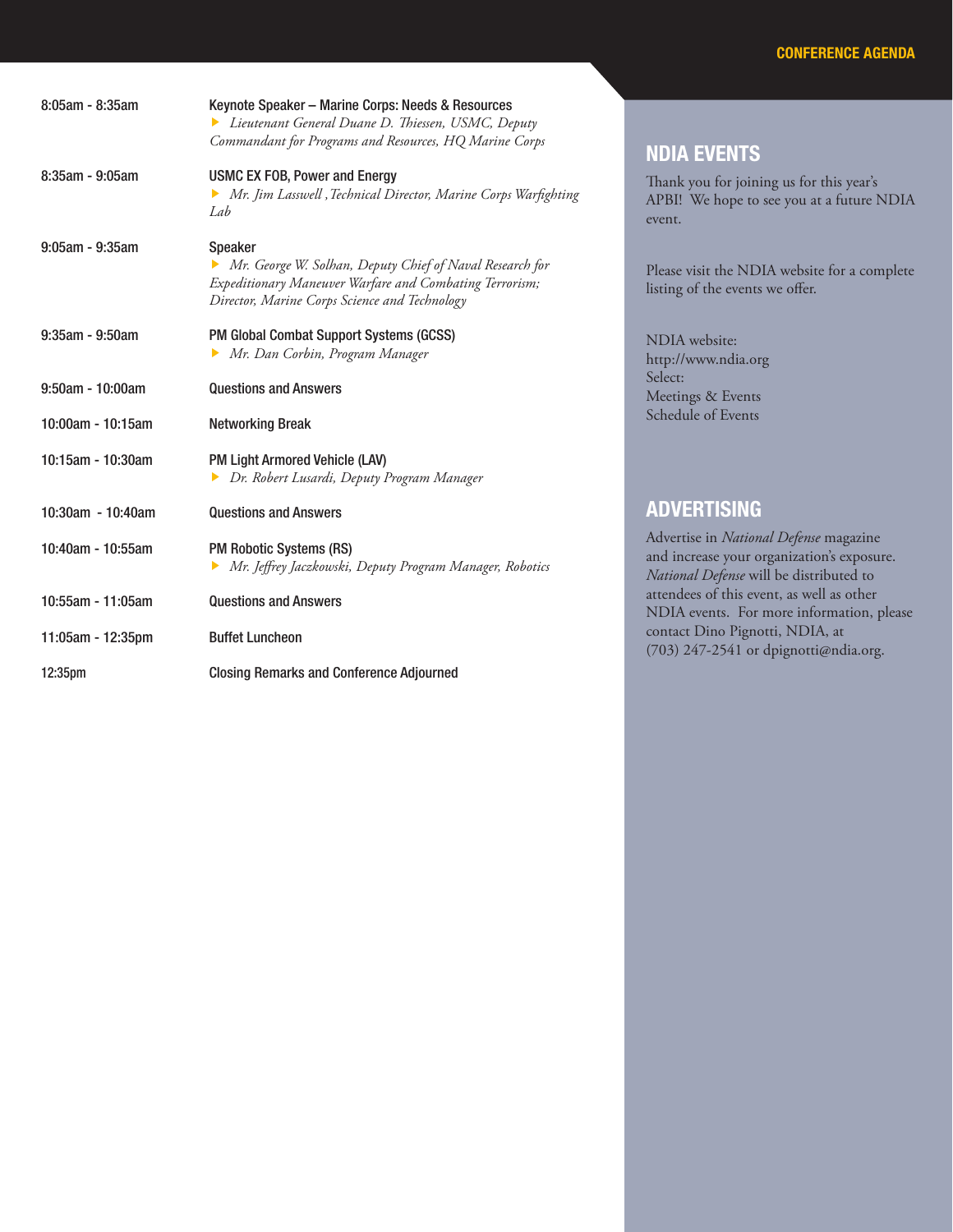| 8:05am - 8:35am       | Keynote Speaker - Marine Corps: Needs & Resources<br>Lieutenant General Duane D. Thiessen, USMC, Deputy<br>Commandant for Programs and Resources, HQ Marine Corps               |
|-----------------------|---------------------------------------------------------------------------------------------------------------------------------------------------------------------------------|
| 8:35am - 9:05am       | <b>USMC EX FOB, Power and Energy</b><br>Mr. Jim Lasswell, Technical Director, Marine Corps Warfighting<br>Lab                                                                   |
| $9:05$ am - $9:35$ am | Speaker<br>Mr. George W. Solhan, Deputy Chief of Naval Research for<br>Expeditionary Maneuver Warfare and Combating Terrorism;<br>Director, Marine Corps Science and Technology |
| $9:35am - 9:50am$     | <b>PM Global Combat Support Systems (GCSS)</b><br>Mr. Dan Corbin, Program Manager                                                                                               |
| $9:50$ am - 10:00am   | <b>Questions and Answers</b>                                                                                                                                                    |
| 10:00am - 10:15am     | <b>Networking Break</b>                                                                                                                                                         |
| 10:15am - 10:30am     | PM Light Armored Vehicle (LAV)<br>Dr. Robert Lusardi, Deputy Program Manager                                                                                                    |
| 10:30am - 10:40am     | <b>Questions and Answers</b>                                                                                                                                                    |
| 10:40am - 10:55am     | <b>PM Robotic Systems (RS)</b><br>Mr. Jeffrey Jaczkowski, Deputy Program Manager, Robotics                                                                                      |
| 10:55am - 11:05am     | <b>Questions and Answers</b>                                                                                                                                                    |
| 11:05am - 12:35pm     | <b>Buffet Luncheon</b>                                                                                                                                                          |
| 12:35pm               | <b>Closing Remarks and Conference Adjourned</b>                                                                                                                                 |

#### NDIA EVENTS

Thank you for joining us for this year's APBI! We hope to see you at a future NDIA event.

Please visit the NDIA website for a complete listing of the events we offer.

## ADVERTISING

Advertise in *National Defense* magazine and increase your organization's exposure. *National Defense* will be distributed to attendees of this event, as well as other NDIA events. For more information, please contact Dino Pignotti, NDIA, at (703) 247-2541 or dpignotti@ndia.org.